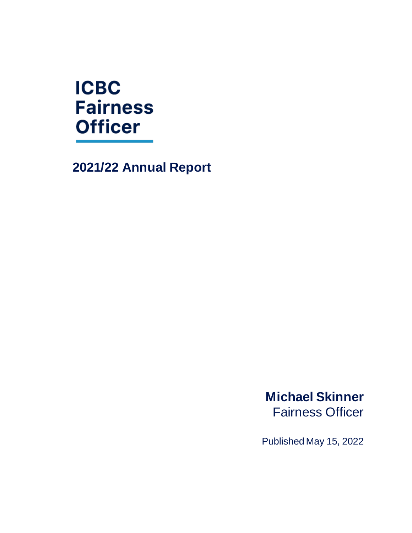# **ICBC Fairness Officer**

**2021/22 Annual Report**

**Michael Skinner** Fairness Officer

Published May 15, 2022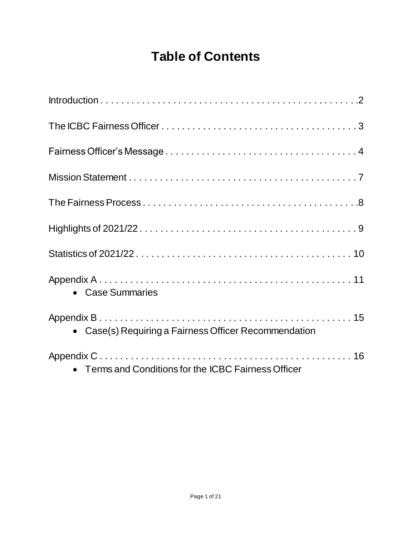## **Table of Contents**

| • Case Summaries                                      |
|-------------------------------------------------------|
| • Case(s) Requiring a Fairness Officer Recommendation |
| • Terms and Conditions for the ICBC Fairness Officer  |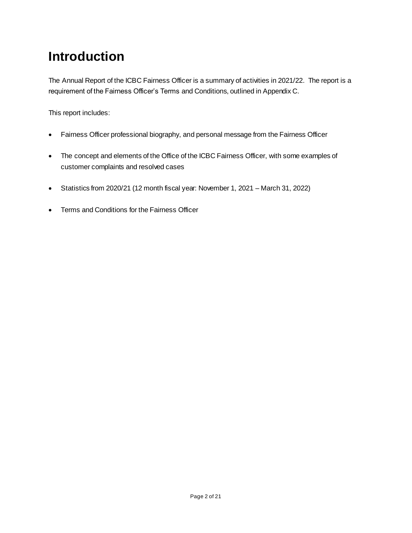## **Introduction**

The Annual Report of the ICBC Fairness Officer is a summary of activities in 2021/22. The report is a requirement of the Fairness Officer's Terms and Conditions, outlined in Appendix C.

This report includes:

- Fairness Officer professional biography, and personal message from the Fairness Officer
- The concept and elements of the Office of the ICBC Fairness Officer, with some examples of customer complaints and resolved cases
- Statistics from 2020/21 (12 month fiscal year: November 1, 2021 March 31, 2022)
- Terms and Conditions for the Fairness Officer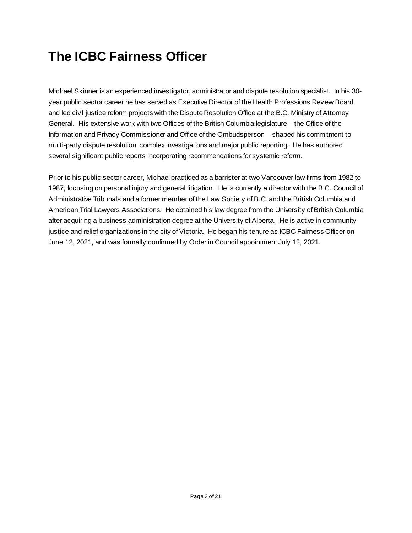## **The ICBC Fairness Officer**

Michael Skinner is an experienced investigator, administrator and dispute resolution specialist. In his 30 year public sector career he has served as Executive Director of the Health Professions Review Board and led civil justice reform projects with the Dispute Resolution Office at the B.C. Ministry of Attorney General. His extensive work with two Offices of the British Columbia legislature – the Office of the Information and Privacy Commissioner and Office of the Ombudsperson – shaped his commitment to multi-party dispute resolution, complex investigations and major public reporting. He has authored several significant public reports incorporating recommendations for systemic reform.

Prior to his public sector career, Michael practiced as a barrister at two Vancouver law firms from 1982 to 1987, focusing on personal injury and general litigation. He is currently a director with the B.C. Council of Administrative Tribunals and a former member of the Law Society of B.C. and the British Columbia and American Trial Lawyers Associations. He obtained his law degree from the University of British Columbia after acquiring a business administration degree at the University of Alberta. He is active in community justice and relief organizations in the city of Victoria. He began his tenure as ICBC Fairness Officer on June 12, 2021, and was formally confirmed by Order in Council appointment July 12, 2021.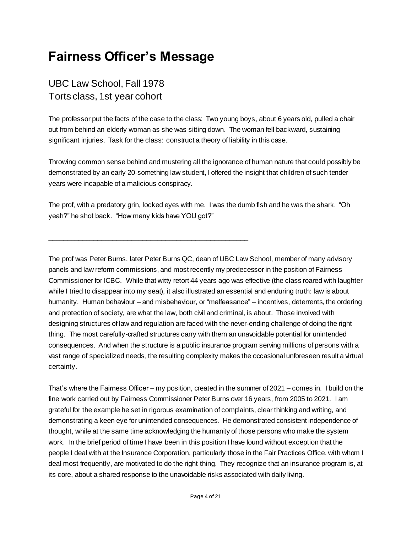## **Fairness Officer's Message**

\_\_\_\_\_\_\_\_\_\_\_\_\_\_\_\_\_\_\_\_\_\_\_\_\_\_\_\_\_\_\_\_\_\_\_\_\_\_\_\_\_\_\_\_\_\_\_\_\_\_\_\_\_

## UBC Law School, Fall 1978 Torts class, 1st year cohort

The professor put the facts of the case to the class: Two young boys, about 6 years old, pulled a chair out from behind an elderly woman as she was sitting down. The woman fell backward, sustaining significant injuries. Task for the class: construct a theory of liability in this case.

Throwing common sense behind and mustering all the ignorance of human nature that could possibly be demonstrated by an early 20-something law student, I offered the insight that children of such tender years were incapable of a malicious conspiracy.

The prof, with a predatory grin, locked eyes with me. I was the dumb fish and he was the shark. "Oh yeah?" he shot back. "How many kids have YOU got?"

The prof was Peter Burns, later Peter Burns QC, dean of UBC Law School, member of many advisory panels and law reform commissions, and most recently my predecessor in the position of Fairness Commissioner for ICBC. While that witty retort 44 years ago was effective (the class roared with laughter while I tried to disappear into my seat), it also illustrated an essential and enduring truth: law is about humanity. Human behaviour – and misbehaviour, or "malfeasance" – incentives, deterrents, the ordering and protection of society, are what the law, both civil and criminal, is about. Those involved with designing structures of law and regulation are faced with the never-ending challenge of doing the right thing. The most carefully-crafted structures carry with them an unavoidable potential for unintended consequences. And when the structure is a public insurance program serving millions of persons with a vast range of specialized needs, the resulting complexity makes the occasional unforeseen result a virtual certainty.

That's where the Fairness Officer – my position, created in the summer of 2021 – comes in. I build on the fine work carried out by Fairness Commissioner Peter Burns over 16 years, from 2005 to 2021. I am grateful for the example he set in rigorous examination of complaints, clear thinking and writing, and demonstrating a keen eye for unintended consequences. He demonstrated consistent independence of thought, while at the same time acknowledging the humanity of those persons who make the system work. In the brief period of time I have been in this position I have found without exception that the people I deal with at the Insurance Corporation, particularly those in the Fair Practices Office, with whom I deal most frequently, are motivated to do the right thing. They recognize that an insurance program is, at its core, about a shared response to the unavoidable risks associated with daily living.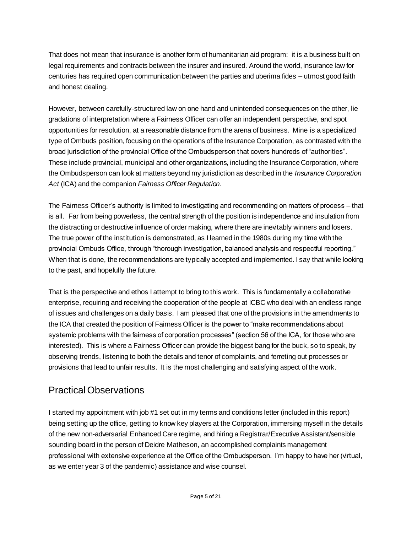That does not mean that insurance is another form of humanitarian aid program: it is a business built on legal requirements and contracts between the insurer and insured. Around the world, insurance law for centuries has required open communication between the parties and uberima fides – utmost good faith and honest dealing.

However, between carefully-structured law on one hand and unintended consequences on the other, lie gradations of interpretation where a Fairness Officer can offer an independent perspective, and spot opportunities for resolution, at a reasonable distance from the arena of business. Mine is a specialized type of Ombuds position, focusing on the operations of the Insurance Corporation, as contrasted with the broad jurisdiction of the provincial Office of the Ombudsperson that covers hundreds of "authorities". These include provincial, municipal and other organizations, including the Insurance Corporation, where the Ombudsperson can look at matters beyond my jurisdiction as described in the *Insurance Corporation Act* (ICA) and the companion *Fairness Officer Regulation*.

The Fairness Officer's authority is limited to investigating and recommending on matters of process – that is all. Far from being powerless, the central strength of the position is independence and insulation from the distracting or destructive influence of order making, where there are inevitably winners and losers. The true power of the institution is demonstrated, as I learned in the 1980s during my time with the provincial Ombuds Office, through "thorough investigation, balanced analysis and respectful reporting." When that is done, the recommendations are typically accepted and implemented. I say that while looking to the past, and hopefully the future.

That is the perspective and ethos I attempt to bring to this work. This is fundamentally a collaborative enterprise, requiring and receiving the cooperation of the people at ICBC who deal with an endless range of issues and challenges on a daily basis. I am pleased that one of the provisions in the amendments to the ICA that created the position of Fairness Officer is the power to "make recommendations about systemic problems with the fairness of corporation processes" (section 56 of the ICA, for those who are interested). This is where a Fairness Officer can provide the biggest bang for the buck, so to speak, by observing trends, listening to both the details and tenor of complaints, and ferreting out processes or provisions that lead to unfair results. It is the most challenging and satisfying aspect of the work.

### Practical Observations

I started my appointment with job #1 set out in my terms and conditions letter (included in this report) being setting up the office, getting to know key players at the Corporation, immersing myself in the details of the new non-adversarial Enhanced Care regime, and hiring a Registrar/Executive Assistant/sensible sounding board in the person of Deidre Matheson, an accomplished complaints management professional with extensive experience at the Office of the Ombudsperson. I'm happy to have her (virtual, as we enter year 3 of the pandemic) assistance and wise counsel.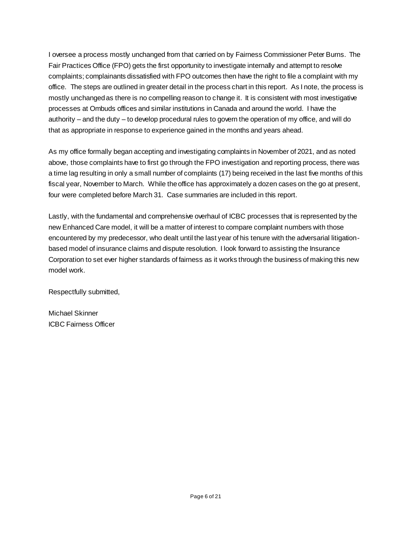I oversee a process mostly unchanged from that carried on by Fairness Commissioner Peter Burns. The Fair Practices Office (FPO) gets the first opportunity to investigate internally and attempt to resolve complaints; complainants dissatisfied with FPO outcomes then have the right to file a complaint with my office. The steps are outlined in greater detail in the process chart in this report. As I note, the process is mostly unchanged as there is no compelling reason to change it. It is consistent with most investigative processes at Ombuds offices and similar institutions in Canada and around the world. I have the authority – and the duty – to develop procedural rules to govern the operation of my office, and will do that as appropriate in response to experience gained in the months and years ahead.

As my office formally began accepting and investigating complaints in November of 2021, and as noted above, those complaints have to first go through the FPO investigation and reporting process, there was a time lag resulting in only a small number of complaints (17) being received in the last five months of this fiscal year, November to March. While the office has approximately a dozen cases on the go at present, four were completed before March 31. Case summaries are included in this report.

Lastly, with the fundamental and comprehensive overhaul of ICBC processes that is represented by the new Enhanced Care model, it will be a matter of interest to compare complaint numbers with those encountered by my predecessor, who dealt until the last year of his tenure with the adversarial litigationbased model of insurance claims and dispute resolution. I look forward to assisting the Insurance Corporation to set ever higher standards of fairness as it works through the business of making this new model work.

Respectfully submitted,

Michael Skinner ICBC Fairness Officer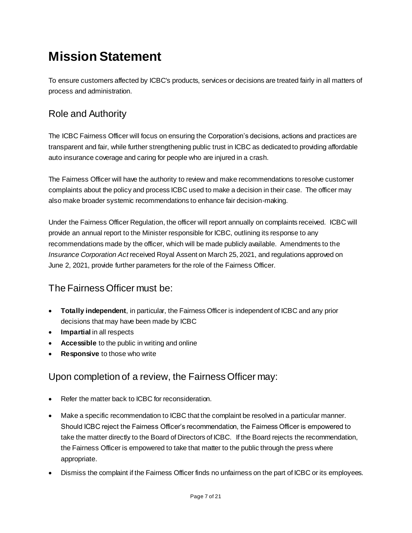## **Mission Statement**

To ensure customers affected by ICBC's products, services or decisions are treated fairly in all matters of process and administration.

## Role and Authority

The ICBC Fairness Officer will focus on ensuring the Corporation's decisions, actions and practices are transparent and fair, while further strengthening public trust in ICBC as dedicated to providing affordable auto insurance coverage and caring for people who are injured in a crash.

The Fairness Officer will have the authority to review and make recommendations to resolve customer complaints about the policy and process ICBC used to make a decision in their case. The officer may also make broader systemic recommendations to enhance fair decision-making.

Under the Fairness Officer Regulation, the officer will report annually on complaints received. ICBC will provide an annual report to the Minister responsible for ICBC, outlining its response to any recommendations made by the officer, which will be made publicly available. Amendments to the *Insurance Corporation Act* received Royal Assent on March 25, 2021, and regulations approved on June 2, 2021, provide further parameters for the role of the Fairness Officer.

## The Fairness Officer must be:

- **Totally independent**, in particular, the Fairness Officer is independent of ICBC and any prior decisions that may have been made by ICBC
- **Impartial** in all respects
- **Accessible** to the public in writing and online
- **Responsive** to those who write

## Upon completion of a review, the Fairness Officer may:

- Refer the matter back to ICBC for reconsideration.
- Make a specific recommendation to ICBC that the complaint be resolved in a particular manner. Should ICBC reject the Fairness Officer's recommendation, the Fairness Officer is empowered to take the matter directly to the Board of Directors of ICBC. If the Board rejects the recommendation, the Fairness Officer is empowered to take that matter to the public through the press where appropriate.
- Dismiss the complaint if the Fairness Officer finds no unfairness on the part of ICBC or its employees.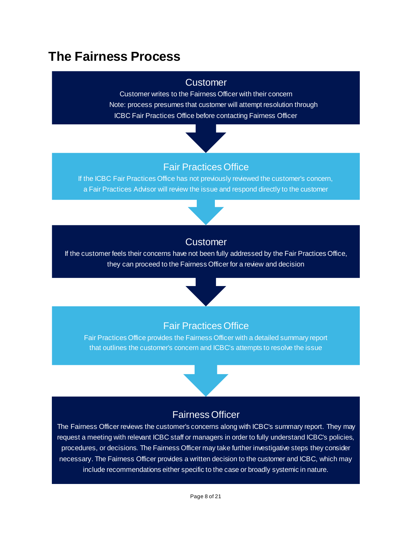## **The Fairness Process**

#### **Customer**

Customer writes to the Fairness Officer with their concern Note: process presumes that customer will attempt resolution through ICBC Fair Practices Office before contacting Fairness Officer



## Fair Practices Office

If the ICBC Fair Practices Office has not previously reviewed the customer's concern, a Fair Practices Advisor will review the issue and respond directly to the customer



### **Customer**

If the customer feels their concerns have not been fully addressed by the Fair Practices Office, they can proceed to the Fairness Officer for a review and decision



### Fair Practices Office

Fair Practices Office provides the Fairness Officer with a detailed summary report that outlines the customer's concern and ICBC's attempts to resolve the issue



### Fairness Officer

The Fairness Officer reviews the customer's concerns along with ICBC's summary report. They may request a meeting with relevant ICBC staff or managers in order to fully understand ICBC's policies, procedures, or decisions. The Fairness Officer may take further investigative steps they consider necessary. The Fairness Officer provides a written decision to the customer and ICBC, which may include recommendations either specific to the case or broadly systemic in nature.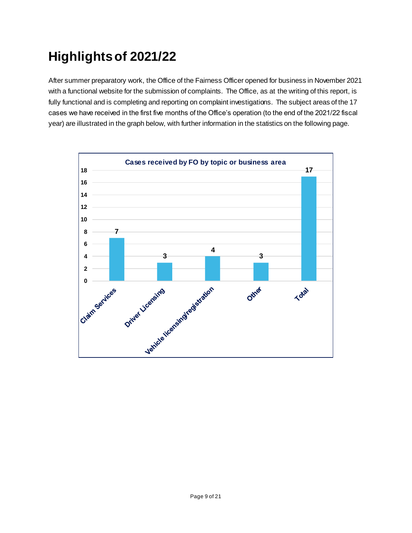## **Highlights of 2021/22**

After summer preparatory work, the Office of the Fairness Officer opened for business in November 2021 with a functional website for the submission of complaints. The Office, as at the writing of this report, is fully functional and is completing and reporting on complaint investigations. The subject areas of the 17 cases we have received in the first five months of the Office's operation (to the end of the 2021/22 fiscal year) are illustrated in the graph below, with further information in the statistics on the following page.

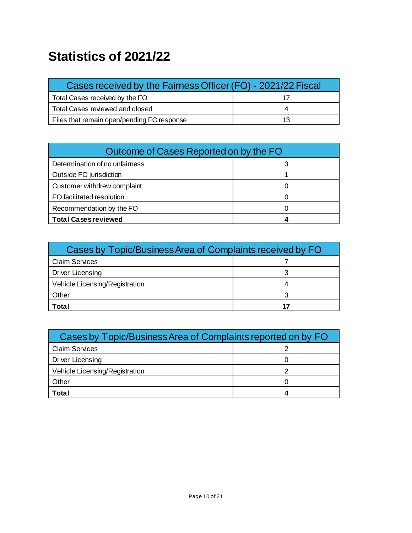## **Statistics of 2021/22**

| Cases received by the Fairness Officer (FO) - 2021/22 Fiscal |  |
|--------------------------------------------------------------|--|
| Total Cases received by the FO                               |  |
| Total Cases reviewed and closed                              |  |
| Files that remain open/pending FO response                   |  |

| Outcome of Cases Reported on by the FO |  |  |
|----------------------------------------|--|--|
| Determination of no unfairness         |  |  |
| Outside FO jurisdiction                |  |  |
| Customer withdrew complaint            |  |  |
| FO facilitated resolution              |  |  |
| Recommendation by the FO               |  |  |
| <b>Total Cases reviewed</b>            |  |  |

| Cases by Topic/Business Area of Complaints received by FO |  |  |
|-----------------------------------------------------------|--|--|
| <b>Claim Services</b>                                     |  |  |
| Driver Licensing                                          |  |  |
| Vehicle Licensing/Registration                            |  |  |
| Other                                                     |  |  |
| Total                                                     |  |  |

| Cases by Topic/Business Area of Complaints reported on by FO |  |  |
|--------------------------------------------------------------|--|--|
| <b>Claim Services</b>                                        |  |  |
| Driver Licensing                                             |  |  |
| Vehicle Licensing/Registration                               |  |  |
| Other                                                        |  |  |
| Total                                                        |  |  |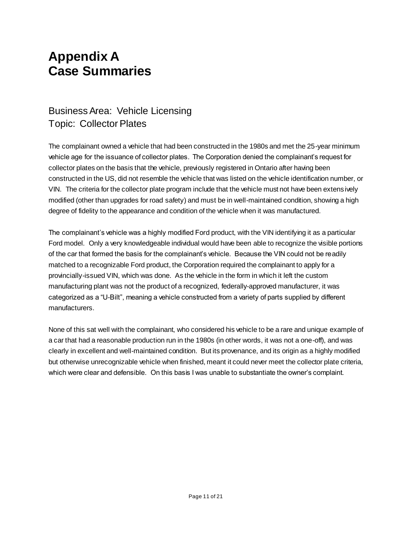## **Appendix A Case Summaries**

## Business Area: Vehicle Licensing Topic: Collector Plates

The complainant owned a vehicle that had been constructed in the 1980s and met the 25-year minimum vehicle age for the issuance of collector plates. The Corporation denied the complainant's request for collector plates on the basis that the vehicle, previously registered in Ontario after having been constructed in the US, did not resemble the vehicle that was listed on the vehicle identification number, or VIN. The criteria for the collector plate program include that the vehicle must not have been extens ively modified (other than upgrades for road safety) and must be in well-maintained condition, showing a high degree of fidelity to the appearance and condition of the vehicle when it was manufactured.

The complainant's vehicle was a highly modified Ford product, with the VIN identifying it as a particular Ford model. Only a very knowledgeable individual would have been able to recognize the visible portions of the car that formed the basis for the complainant's vehicle. Because the VIN could not be readily matched to a recognizable Ford product, the Corporation required the complainant to apply for a provincially-issued VIN, which was done. As the vehicle in the form in which it left the custom manufacturing plant was not the product of a recognized, federally-approved manufacturer, it was categorized as a "U-Bilt", meaning a vehicle constructed from a variety of parts supplied by different manufacturers.

None of this sat well with the complainant, who considered his vehicle to be a rare and unique example of a car that had a reasonable production run in the 1980s (in other words, it was not a one-off), and was clearly in excellent and well-maintained condition. But its provenance, and its origin as a highly modified but otherwise unrecognizable vehicle when finished, meant it could never meet the collector plate criteria, which were clear and defensible. On this basis I was unable to substantiate the owner's complaint.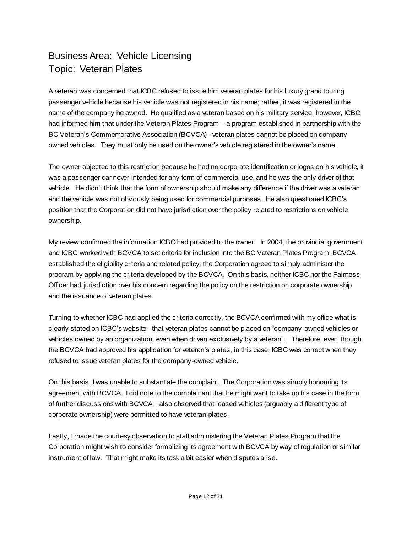## Business Area: Vehicle Licensing Topic: Veteran Plates

A veteran was concerned that ICBC refused to issue him veteran plates for his luxury grand touring passenger vehicle because his vehicle was not registered in his name; rather, it was registered in the name of the company he owned. He qualified as a veteran based on his military service; however, ICBC had informed him that under the Veteran Plates Program – a program established in partnership with the BC Veteran's Commemorative Association (BCVCA) - veteran plates cannot be placed on companyowned vehicles. They must only be used on the owner's vehicle registered in the owner's name.

The owner objected to this restriction because he had no corporate identification or logos on his vehicle, it was a passenger car never intended for any form of commercial use, and he was the only driver of that vehicle. He didn't think that the form of ownership should make any difference if the driver was a veteran and the vehicle was not obviously being used for commercial purposes. He also questioned ICBC's position that the Corporation did not have jurisdiction over the policy related to restrictions on vehicle ownership.

My review confirmed the information ICBC had provided to the owner. In 2004, the provincial government and ICBC worked with BCVCA to set criteria for inclusion into the BC Veteran Plates Program. BCVCA established the eligibility criteria and related policy; the Corporation agreed to simply administer the program by applying the criteria developed by the BCVCA. On this basis, neither ICBC nor the Fairness Officer had jurisdiction over his concern regarding the policy on the restriction on corporate ownership and the issuance of veteran plates.

Turning to whether ICBC had applied the criteria correctly, the BCVCA confirmed with my office what is clearly stated on ICBC's website - that veteran plates cannot be placed on "company-owned vehicles or vehicles owned by an organization, even when driven exclusively by a veteran". Therefore, even though the BCVCA had approved his application for veteran's plates, in this case, ICBC was correct when they refused to issue veteran plates for the company-owned vehicle.

On this basis, I was unable to substantiate the complaint. The Corporation was simply honouring its agreement with BCVCA. I did note to the complainant that he might want to take up his case in the form of further discussions with BCVCA; I also observed that leased vehicles (arguably a different type of corporate ownership) were permitted to have veteran plates.

Lastly, I made the courtesy observation to staff administering the Veteran Plates Program that the Corporation might wish to consider formalizing its agreement with BCVCA by way of regulation or similar instrument of law. That might make its task a bit easier when disputes arise.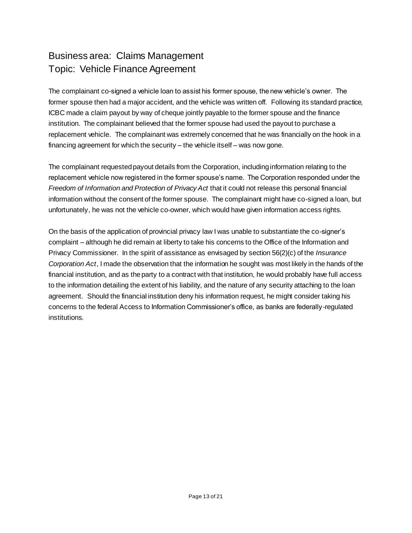## Business area: Claims Management Topic: Vehicle Finance Agreement

The complainant co-signed a vehicle loan to assist his former spouse, the new vehicle's owner. The former spouse then had a major accident, and the vehicle was written off. Following its standard practice, ICBC made a claim payout by way of cheque jointly payable to the former spouse and the finance institution. The complainant believed that the former spouse had used the payout to purchase a replacement vehicle. The complainant was extremely concerned that he was financially on the hook in a financing agreement for which the security – the vehicle itself – was now gone.

The complainant requested payout details from the Corporation, including information relating to the replacement vehicle now registered in the former spouse's name. The Corporation responded under the *Freedom of Information and Protection of Privacy Act* that it could not release this personal financial information without the consent of the former spouse. The complainant might have co-signed a loan, but unfortunately, he was not the vehicle co-owner, which would have given information access rights.

On the basis of the application of provincial privacy law I was unable to substantiate the co-signer's complaint – although he did remain at liberty to take his concerns to the Office of the Information and Privacy Commissioner. In the spirit of assistance as envisaged by section 56(2)(c) of the *Insurance Corporation Act*, I made the observation that the information he sought was most likely in the hands of the financial institution, and as the party to a contract with that institution, he would probably have full access to the information detailing the extent of his liability, and the nature of any security attaching to the loan agreement. Should the financial institution deny his information request, he might consider taking his concerns to the federal Access to Information Commissioner's office, as banks are federally-regulated institutions.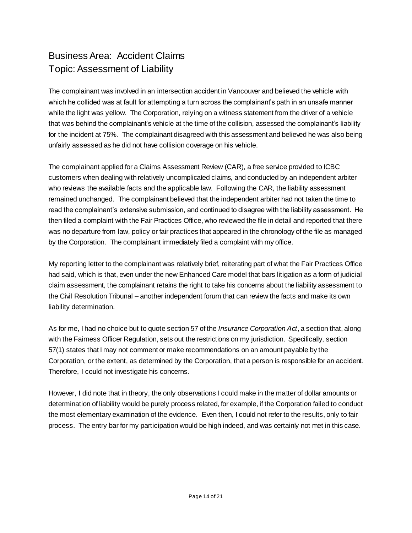## Business Area: Accident Claims Topic: Assessment of Liability

The complainant was involved in an intersection accident in Vancouver and believed the vehicle with which he collided was at fault for attempting a turn across the complainant's path in an unsafe manner while the light was yellow. The Corporation, relying on a witness statement from the driver of a vehicle that was behind the complainant's vehicle at the time of the collision, assessed the complainant's liability for the incident at 75%. The complainant disagreed with this assessment and believed he was also being unfairly assessed as he did not have collision coverage on his vehicle.

The complainant applied for a Claims Assessment Review (CAR), a free service provided to ICBC customers when dealing with relatively uncomplicated claims, and conducted by an independent arbiter who reviews the available facts and the applicable law. Following the CAR, the liability assessment remained unchanged. The complainant believed that the independent arbiter had not taken the time to read the complainant's extensive submission, and continued to disagree with the liability assessment. He then filed a complaint with the Fair Practices Office, who reviewed the file in detail and reported that there was no departure from law, policy or fair practices that appeared in the chronology of the file as managed by the Corporation. The complainant immediately filed a complaint with my office.

My reporting letter to the complainant was relatively brief, reiterating part of what the Fair Practices Office had said, which is that, even under the new Enhanced Care model that bars litigation as a form of judicial claim assessment, the complainant retains the right to take his concerns about the liability assessment to the Civil Resolution Tribunal – another independent forum that can review the facts and make its own liability determination.

As for me, I had no choice but to quote section 57 of the *Insurance Corporation Act*, a section that, along with the Fairness Officer Regulation, sets out the restrictions on my jurisdiction. Specifically, section 57(1) states that I may not comment or make recommendations on an amount payable by the Corporation, or the extent, as determined by the Corporation, that a person is responsible for an accident. Therefore, I could not investigate his concerns.

However, I did note that in theory, the only observations I could make in the matter of dollar amounts or determination of liability would be purely process related, for example, if the Corporation failed to conduct the most elementary examination of the evidence. Even then, I could not refer to the results, only to fair process. The entry bar for my participation would be high indeed, and was certainly not met in this case.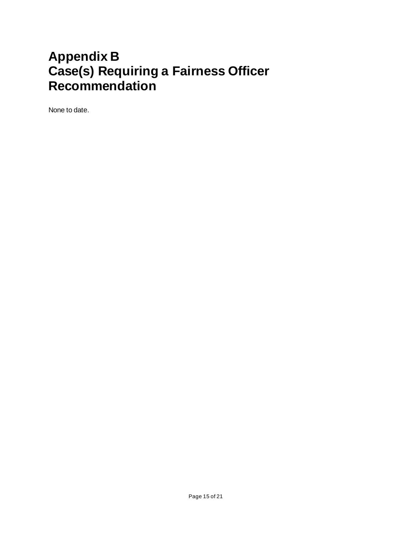## **Appendix B Case(s) Requiring a Fairness Officer Recommendation**

None to date.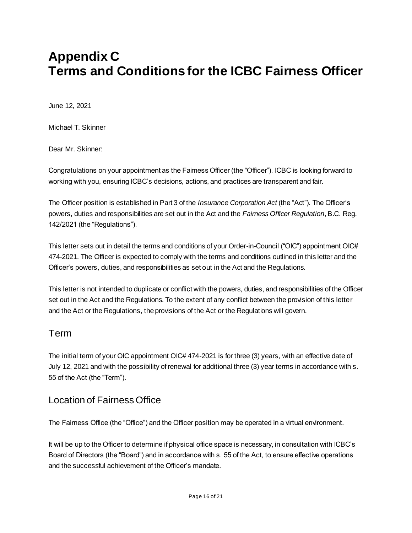## **Appendix C Terms and Conditions for the ICBC Fairness Officer**

June 12, 2021

Michael T. Skinner

Dear Mr. Skinner:

Congratulations on your appointment as the Fairness Officer (the "Officer"). ICBC is looking forward to working with you, ensuring ICBC's decisions, actions, and practices are transparent and fair.

The Officer position is established in Part 3 of the *Insurance Corporation Act* (the "Act"). The Officer's powers, duties and responsibilities are set out in the Act and the *Fairness Officer Regulation*, B.C. Reg. 142/2021 (the "Regulations").

This letter sets out in detail the terms and conditions of your Order-in-Council ("OIC") appointment OIC# 474-2021. The Officer is expected to comply with the terms and conditions outlined in this letter and the Officer's powers, duties, and responsibilities as set out in the Act and the Regulations.

This letter is not intended to duplicate or conflict with the powers, duties, and responsibilities of the Officer set out in the Act and the Regulations. To the extent of any conflict between the provision of this letter and the Act or the Regulations, the provisions of the Act or the Regulations will govern.

### Term

The initial term of your OIC appointment OIC# 474-2021 is for three (3) years, with an effective date of July 12, 2021 and with the possibility of renewal for additional three (3) year terms in accordance with s. 55 of the Act (the "Term").

### Location of Fairness Office

The Fairness Office (the "Office") and the Officer position may be operated in a virtual environment.

It will be up to the Officer to determine if physical office space is necessary, in consultation with ICBC's Board of Directors (the "Board") and in accordance with s. 55 of the Act, to ensure effective operations and the successful achievement of the Officer's mandate.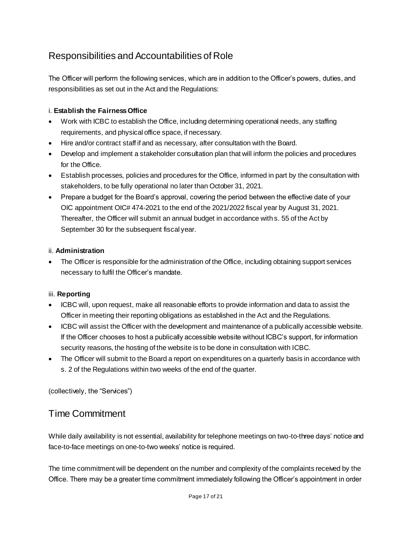## Responsibilities and Accountabilities of Role

The Officer will perform the following services, which are in addition to the Officer's powers, duties, and responsibilities as set out in the Act and the Regulations:

#### i. **Establish the Fairness Office**

- Work with ICBC to establish the Office, including determining operational needs, any staffing requirements, and physical office space, if necessary.
- Hire and/or contract staff if and as necessary, after consultation with the Board.
- Develop and implement a stakeholder consultation plan that will inform the policies and procedures for the Office.
- Establish processes, policies and procedures for the Office, informed in part by the consultation with stakeholders, to be fully operational no later than October 31, 2021.
- Prepare a budget for the Board's approval, covering the period between the effective date of your OIC appointment OIC# 474-2021 to the end of the 2021/2022 fiscal year by August 31, 2021. Thereafter, the Officer will submit an annual budget in accordance with s. 55 of the Act by September 30 for the subsequent fiscal year.

#### ii. **Administration**

 The Officer is responsible for the administration of the Office, including obtaining support services necessary to fulfil the Officer's mandate.

#### iii. **Reporting**

- ICBC will, upon request, make all reasonable efforts to provide information and data to assist the Officer in meeting their reporting obligations as established in the Act and the Regulations.
- ICBC will assist the Officer with the development and maintenance of a publically accessible website. If the Officer chooses to host a publically accessible website without ICBC's support, for information security reasons, the hosting of the website is to be done in consultation with ICBC.
- The Officer will submit to the Board a report on expenditures on a quarterly basis in accordance with s. 2 of the Regulations within two weeks of the end of the quarter.

(collectively, the "Services")

### Time Commitment

While daily availability is not essential, availability for telephone meetings on two-to-three days' notice and face-to-face meetings on one-to-two weeks' notice is required.

The time commitment will be dependent on the number and complexity of the complaints received by the Office. There may be a greater time commitment immediately following the Officer's appointment in order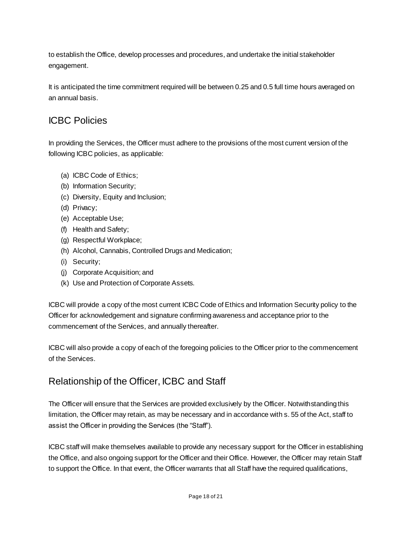to establish the Office, develop processes and procedures, and undertake the initial stakeholder engagement.

It is anticipated the time commitment required will be between 0.25 and 0.5 full time hours averaged on an annual basis.

### ICBC Policies

In providing the Services, the Officer must adhere to the provisions of the most current version of the following ICBC policies, as applicable:

- (a) ICBC Code of Ethics;
- (b) Information Security;
- (c) Diversity, Equity and Inclusion;
- (d) Privacy;
- (e) Acceptable Use;
- (f) Health and Safety;
- (g) Respectful Workplace;
- (h) Alcohol, Cannabis, Controlled Drugs and Medication;
- (i) Security;
- (j) Corporate Acquisition; and
- (k) Use and Protection of Corporate Assets.

ICBC will provide a copy of the most current ICBC Code of Ethics and Information Security policy to the Officer for acknowledgement and signature confirming awareness and acceptance prior to the commencement of the Services, and annually thereafter.

ICBC will also provide a copy of each of the foregoing policies to the Officer prior to the commencement of the Services.

## Relationship of the Officer, ICBC and Staff

The Officer will ensure that the Services are provided exclusively by the Officer. Notwithstanding this limitation, the Officer may retain, as may be necessary and in accordance with s. 55 of the Act, staff to assist the Officer in providing the Services (the "Staff").

ICBC staff will make themselves available to provide any necessary support for the Officer in establishing the Office, and also ongoing support for the Officer and their Office. However, the Officer may retain Staff to support the Office. In that event, the Officer warrants that all Staff have the required qualifications,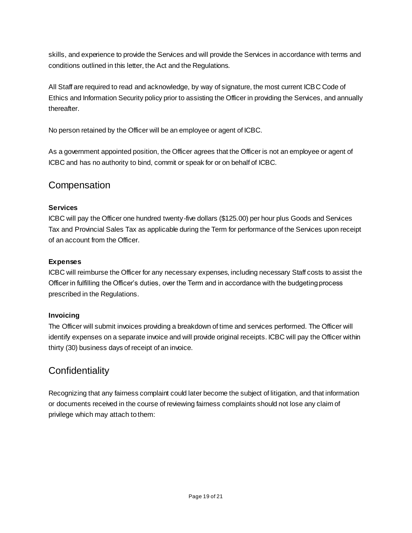skills, and experience to provide the Services and will provide the Services in accordance with terms and conditions outlined in this letter, the Act and the Regulations.

All Staff are required to read and acknowledge, by way of signature, the most current ICBC Code of Ethics and Information Security policy prior to assisting the Officer in providing the Services, and annually thereafter.

No person retained by the Officer will be an employee or agent of ICBC.

As a government appointed position, the Officer agrees that the Officer is not an employee or agent of ICBC and has no authority to bind, commit or speak for or on behalf of ICBC.

### **Compensation**

#### **Services**

ICBC will pay the Officer one hundred twenty-five dollars (\$125.00) per hour plus Goods and Services Tax and Provincial Sales Tax as applicable during the Term for performance of the Services upon receipt of an account from the Officer.

#### **Expenses**

ICBC will reimburse the Officer for any necessary expenses, including necessary Staff costs to assist the Officer in fulfilling the Officer's duties, over the Term and in accordance with the budgeting process prescribed in the Regulations.

#### **Invoicing**

The Officer will submit invoices providing a breakdown of time and services performed. The Officer will identify expenses on a separate invoice and will provide original receipts. ICBC will pay the Officer within thirty (30) business days of receipt of an invoice.

### **Confidentiality**

Recognizing that any fairness complaint could later become the subject of litigation, and that information or documents received in the course of reviewing fairness complaints should not lose any claim of privilege which may attach to them: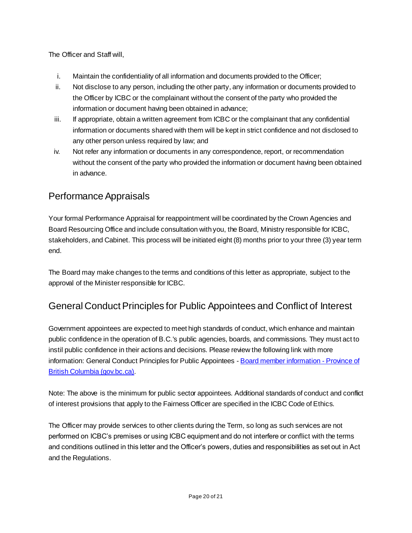The Officer and Staff will,

- i. Maintain the confidentiality of all information and documents provided to the Officer;
- ii. Not disclose to any person, including the other party, any information or documents provided to the Officer by ICBC or the complainant without the consent of the party who provided the information or document having been obtained in advance;
- iii. If appropriate, obtain a written agreement from ICBC or the complainant that any confidential information or documents shared with them will be kept in strict confidence and not disclosed to any other person unless required by law; and
- iv. Not refer any information or documents in any correspondence, report, or recommendation without the consent of the party who provided the information or document having been obtained in advance.

## Performance Appraisals

Your formal Performance Appraisal for reappointment will be coordinated by the Crown Agencies and Board Resourcing Office and include consultation with you, the Board, Ministry responsible for ICBC, stakeholders, and Cabinet. This process will be initiated eight (8) months prior to your three (3) year term end.

The Board may make changes to the terms and conditions of this letter as appropriate, subject to the approval of the Minister responsible for ICBC.

## General Conduct Principles for Public Appointees and Conflict of Interest

Government appointees are expected to meet high standards of conduct, which enhance and maintain public confidence in the operation of B.C.'s public agencies, boards, and commissions. They must act to instil public confidence in their actions and decisions. Please review the following link with more information: General Conduct Principles for Public Appointees - [Board member information -](https://www2.gov.bc.ca/gov/content/bcpublicsectorboardapplications/learn/board-member-information#conduct) Province of [British Columbia \(gov.bc.ca\)](https://www2.gov.bc.ca/gov/content/bcpublicsectorboardapplications/learn/board-member-information#conduct).

Note: The above is the minimum for public sector appointees. Additional standards of conduct and conflict of interest provisions that apply to the Fairness Officer are specified in the ICBC Code of Ethics.

The Officer may provide services to other clients during the Term, so long as such services are not performed on ICBC's premises or using ICBC equipment and do not interfere or conflict with the terms and conditions outlined in this letter and the Officer's powers, duties and responsibilities as set out in Act and the Regulations.